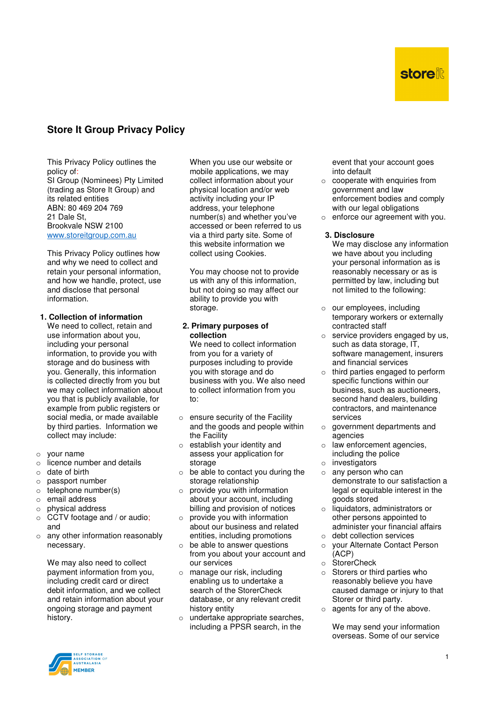# **Store It Group Privacy Policy**

This Privacy Policy outlines the policy of: SI Group (Nominees) Pty Limited (trading as Store It Group) and its related entities ABN: 80 469 204 769 21 Dale St, Brookvale NSW 2100 www.storeitgroup.com.au

This Privacy Policy outlines how and why we need to collect and retain your personal information, and how we handle, protect, use and disclose that personal information.

## **1. Collection of information**

We need to collect, retain and use information about you, including your personal information, to provide you with storage and do business with you. Generally, this information is collected directly from you but we may collect information about you that is publicly available, for example from public registers or social media, or made available by third parties. Information we collect may include:

- o your name
- $\circ$  licence number and details
- $\circ$  date of hirth
- o passport number
- o telephone number(s)
- $\circ$  email address
- o physical address
- $\circ$  CCTV footage and / or audio; and
- $\circ$  any other information reasonably necessary.

We may also need to collect payment information from you, including credit card or direct debit information, and we collect and retain information about your ongoing storage and payment history.

When you use our website or mobile applications, we may collect information about your physical location and/or web activity including your IP address, your telephone number(s) and whether you've accessed or been referred to us via a third party site. Some of this website information we collect using Cookies.

You may choose not to provide us with any of this information, but not doing so may affect our ability to provide you with storage.

### **2. Primary purposes of collection**

We need to collect information from you for a variety of purposes including to provide you with storage and do business with you. We also need to collect information from you to:

- $\circ$  ensure security of the Facility and the goods and people within the Facility
- o establish your identity and assess your application for storage
- $\circ$  be able to contact you during the storage relationship
- $\circ$  provide you with information about your account, including billing and provision of notices
- $\circ$  provide you with information about our business and related entities, including promotions
- be able to answer questions from you about your account and our services
- o manage our risk, including enabling us to undertake a search of the StorerCheck database, or any relevant credit history entity
- o undertake appropriate searches, including a PPSR search, in the

event that your account goes into default

- $\circ$  cooperate with enquiries from government and law enforcement bodies and comply with our legal obligations
- $\circ$  enforce our agreement with you.

**3. Disclosure** 

- We may disclose any information we have about you including your personal information as is reasonably necessary or as is permitted by law, including but not limited to the following:
- o our employees, including temporary workers or externally contracted staff
- $\circ$  service providers engaged by us, such as data storage, IT, software management, insurers and financial services
- o third parties engaged to perform specific functions within our business, such as auctioneers, second hand dealers, building contractors, and maintenance services
- o government departments and agencies
- o law enforcement agencies, including the police
- $\circ$  investigators
- $\circ$  any person who can demonstrate to our satisfaction a legal or equitable interest in the goods stored
- $\circ$  liquidators, administrators or other persons appointed to administer your financial affairs o debt collection services
- o your Alternate Contact Person (ACP)
- o StorerCheck
- o Storers or third parties who reasonably believe you have caused damage or injury to that Storer or third party.
- o agents for any of the above.

We may send your information overseas. Some of our service

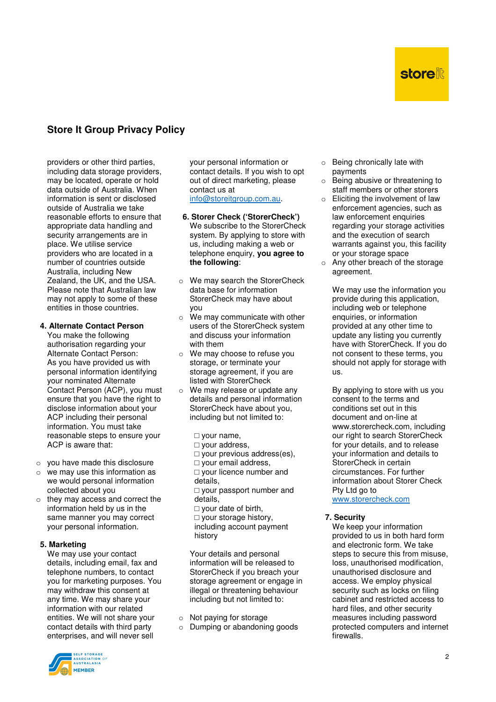# **store**

# **Store It Group Privacy Policy**

providers or other third parties, including data storage providers, may be located, operate or hold data outside of Australia. When information is sent or disclosed outside of Australia we take reasonable efforts to ensure that appropriate data handling and security arrangements are in place. We utilise service providers who are located in a number of countries outside Australia, including New Zealand, the UK, and the USA. Please note that Australian law may not apply to some of these entities in those countries.

## **4. Alternate Contact Person**

You make the following authorisation regarding your Alternate Contact Person: As you have provided us with personal information identifying your nominated Alternate Contact Person (ACP), you must ensure that you have the right to disclose information about your ACP including their personal information. You must take reasonable steps to ensure your ACP is aware that:

- o you have made this disclosure
- $\circ$  we may use this information as we would personal information collected about you
- o they may access and correct the information held by us in the same manner you may correct your personal information.

#### **5. Marketing**

We may use your contact details, including email, fax and telephone numbers, to contact you for marketing purposes. You may withdraw this consent at any time. We may share your information with our related entities. We will not share your contact details with third party enterprises, and will never sell

your personal information or contact details. If you wish to opt out of direct marketing, please contact us at info@storeitgroup.com.au.

- **6. Storer Check ('StorerCheck')**  We subscribe to the StorerCheck system. By applying to store with us, including making a web or telephone enquiry, **you agree to the following**:
- o We may search the StorerCheck data base for information StorerCheck may have about you
- o We may communicate with other users of the StorerCheck system and discuss your information with them
- o We may choose to refuse you storage, or terminate your storage agreement, if you are listed with StorerCheck
- o We may release or update any details and personal information StorerCheck have about you, including but not limited to:
	- □ your name,
	- □ your address.
	- $\Box$  your previous address(es),
	- □ your email address, □ your licence number and
	-
	- details,

□ your passport number and details,

- □ your date of birth.
- □ your storage history,
- including account payment history

Your details and personal information will be released to StorerCheck if you breach your storage agreement or engage in illegal or threatening behaviour including but not limited to:

- o Not paying for storage
- o Dumping or abandoning goods
- o Being chronically late with payments
- o Being abusive or threatening to staff members or other storers
- $\circ$  Eliciting the involvement of law enforcement agencies, such as law enforcement enquiries regarding your storage activities and the execution of search warrants against you, this facility or your storage space
- o Any other breach of the storage agreement.

We may use the information you provide during this application, including web or telephone enquiries, or information provided at any other time to update any listing you currently have with StorerCheck. If you do not consent to these terms, you should not apply for storage with us.

By applying to store with us you consent to the terms and conditions set out in this document and on-line at www.storercheck.com, including our right to search StorerCheck for your details, and to release your information and details to StorerCheck in certain circumstances. For further information about Storer Check Pty Ltd go to www.storercheck.com

#### **7. Security**

We keep your information provided to us in both hard form and electronic form. We take steps to secure this from misuse, loss, unauthorised modification, unauthorised disclosure and access. We employ physical security such as locks on filing cabinet and restricted access to hard files, and other security measures including password protected computers and internet firewalls.